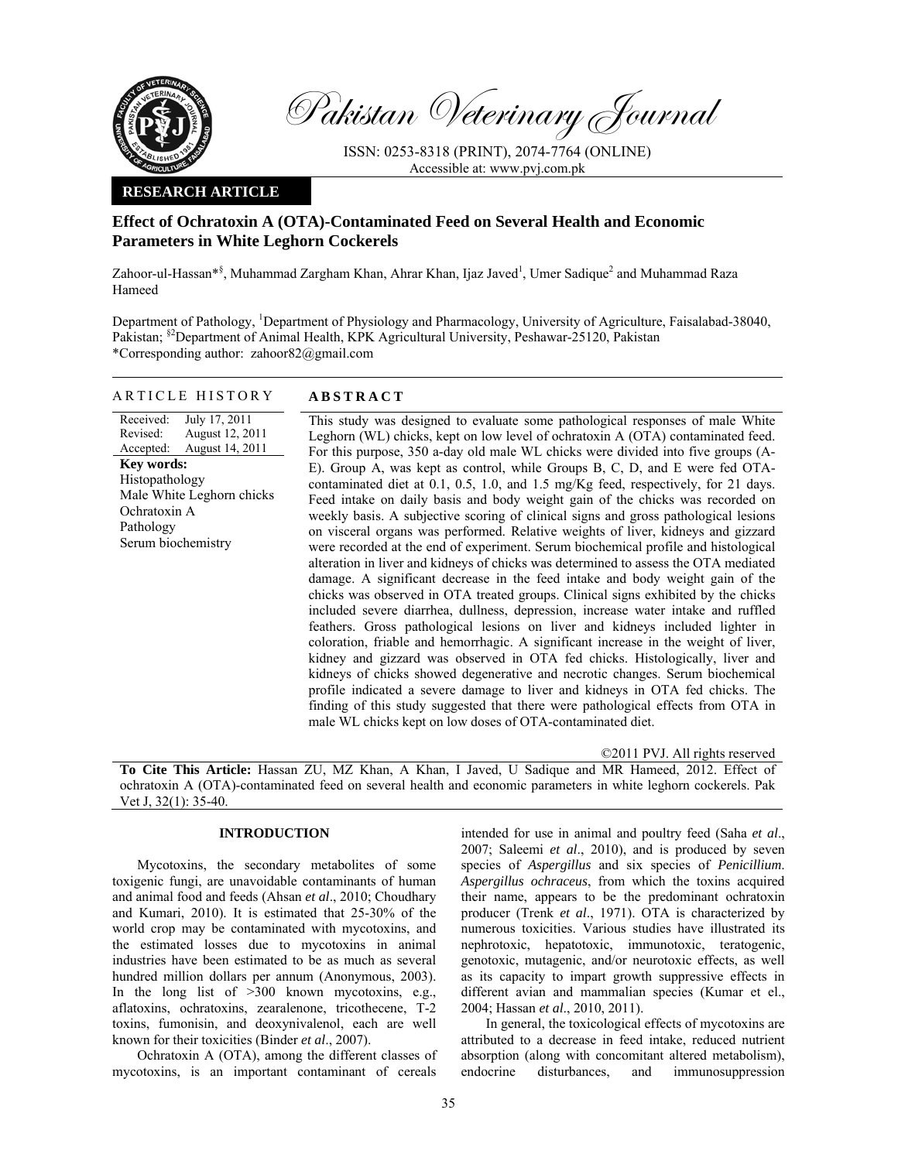

Pakistan Veterinary Journal

ISSN: 0253-8318 (PRINT), 2074-7764 (ONLINE) Accessible at: www.pvj.com.pk

### **RESEARCH ARTICLE**

# **Effect of Ochratoxin A (OTA)-Contaminated Feed on Several Health and Economic Parameters in White Leghorn Cockerels**

Zahoor-ul-Hassan\*<sup>§</sup>, Muhammad Zargham Khan, Ahrar Khan, Ijaz Javed<sup>1</sup>, Umer Sadique<sup>2</sup> and Muhammad Raza Hameed

Department of Pathology, <sup>1</sup>Department of Physiology and Pharmacology, University of Agriculture, Faisalabad-38040, Pakistan; §2Department of Animal Health, KPK Agricultural University, Peshawar-25120, Pakistan \*Corresponding author: zahoor82@gmail.com

# ARTICLE HISTORY **ABSTRACT**

Received: Revised: Accepted: July 17, 2011 August 12, 2011 August 14, 2011 **Key words:**  Histopathology Male White Leghorn chicks Ochratoxin A Pathology Serum biochemistry

This study was designed to evaluate some pathological responses of male White Leghorn (WL) chicks, kept on low level of ochratoxin A (OTA) contaminated feed. For this purpose, 350 a-day old male WL chicks were divided into five groups (A-E). Group A, was kept as control, while Groups B, C, D, and E were fed OTAcontaminated diet at 0.1, 0.5, 1.0, and 1.5 mg/Kg feed, respectively, for 21 days. Feed intake on daily basis and body weight gain of the chicks was recorded on weekly basis. A subjective scoring of clinical signs and gross pathological lesions on visceral organs was performed. Relative weights of liver, kidneys and gizzard were recorded at the end of experiment. Serum biochemical profile and histological alteration in liver and kidneys of chicks was determined to assess the OTA mediated damage. A significant decrease in the feed intake and body weight gain of the chicks was observed in OTA treated groups. Clinical signs exhibited by the chicks included severe diarrhea, dullness, depression, increase water intake and ruffled feathers. Gross pathological lesions on liver and kidneys included lighter in coloration, friable and hemorrhagic. A significant increase in the weight of liver, kidney and gizzard was observed in OTA fed chicks. Histologically, liver and kidneys of chicks showed degenerative and necrotic changes. Serum biochemical profile indicated a severe damage to liver and kidneys in OTA fed chicks. The finding of this study suggested that there were pathological effects from OTA in male WL chicks kept on low doses of OTA-contaminated diet.

©2011 PVJ. All rights reserved **To Cite This Article:** Hassan ZU, MZ Khan, A Khan, I Javed, U Sadique and MR Hameed, 2012. Effect of ochratoxin A (OTA)-contaminated feed on several health and economic parameters in white leghorn cockerels. Pak Vet J, 32(1): 35-40.

### **INTRODUCTION**

Mycotoxins, the secondary metabolites of some toxigenic fungi, are unavoidable contaminants of human and animal food and feeds (Ahsan *et al*., 2010; Choudhary and Kumari, 2010). It is estimated that 25-30% of the world crop may be contaminated with mycotoxins, and the estimated losses due to mycotoxins in animal industries have been estimated to be as much as several hundred million dollars per annum (Anonymous, 2003). In the long list of >300 known mycotoxins, e.g., aflatoxins, ochratoxins, zearalenone, tricothecene, T-2 toxins, fumonisin, and deoxynivalenol, each are well known for their toxicities (Binder *et al*., 2007).

 Ochratoxin A (OTA), among the different classes of mycotoxins, is an important contaminant of cereals

intended for use in animal and poultry feed (Saha *et al*., 2007; Saleemi *et al*., 2010), and is produced by seven species of *Aspergillus* and six species of *Penicillium*. *Aspergillus ochraceus*, from which the toxins acquired their name, appears to be the predominant ochratoxin producer (Trenk *et al*., 1971). OTA is characterized by numerous toxicities. Various studies have illustrated its nephrotoxic, hepatotoxic, immunotoxic, teratogenic, genotoxic, mutagenic, and/or neurotoxic effects, as well as its capacity to impart growth suppressive effects in different avian and mammalian species (Kumar et el., 2004; Hassan *et al*., 2010, 2011).

 In general, the toxicological effects of mycotoxins are attributed to a decrease in feed intake, reduced nutrient absorption (along with concomitant altered metabolism), endocrine disturbances, and immunosuppression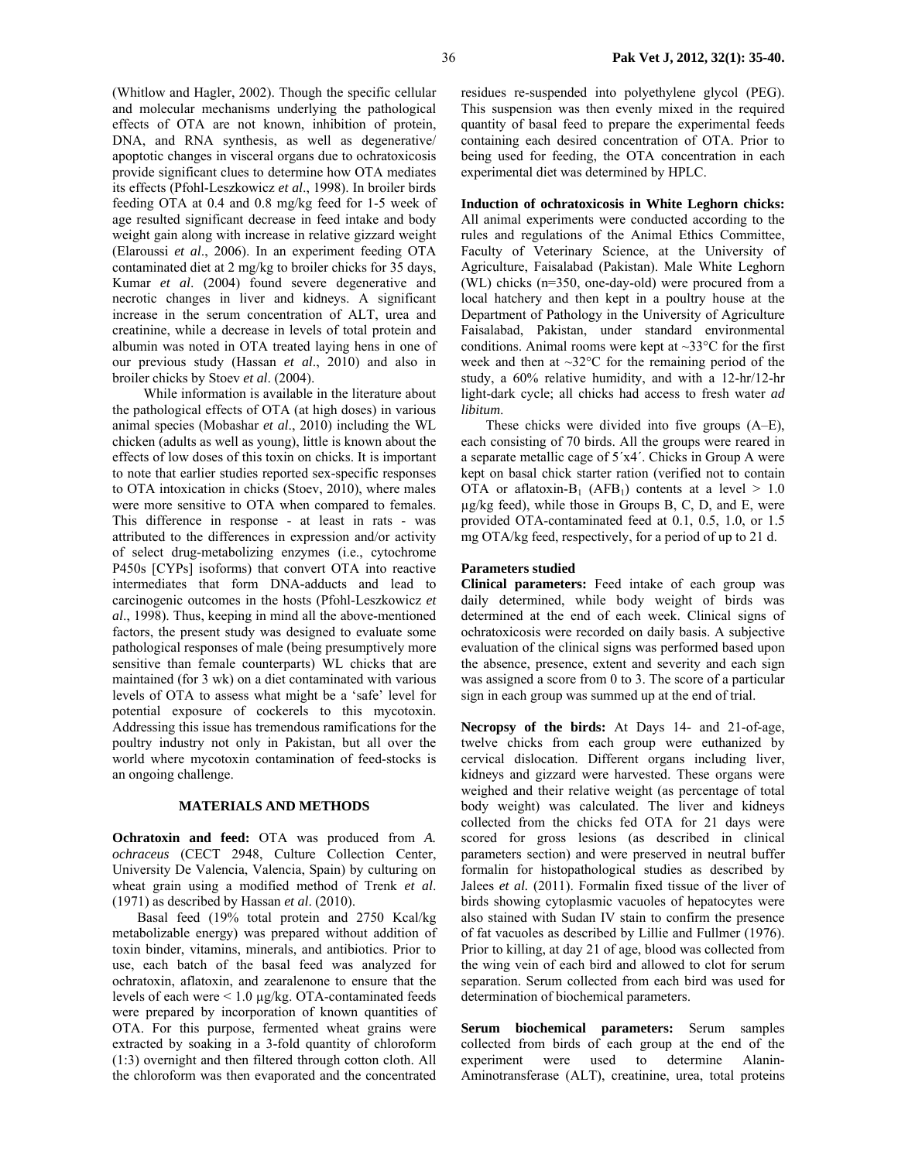(Whitlow and Hagler, 2002). Though the specific cellular and molecular mechanisms underlying the pathological effects of OTA are not known, inhibition of protein, DNA, and RNA synthesis, as well as degenerative/ apoptotic changes in visceral organs due to ochratoxicosis provide significant clues to determine how OTA mediates its effects (Pfohl-Leszkowicz *et al*., 1998). In broiler birds feeding OTA at 0.4 and 0.8 mg/kg feed for 1-5 week of age resulted significant decrease in feed intake and body weight gain along with increase in relative gizzard weight (Elaroussi *et al*., 2006). In an experiment feeding OTA contaminated diet at 2 mg/kg to broiler chicks for 35 days, Kumar *et al*. (2004) found severe degenerative and necrotic changes in liver and kidneys. A significant increase in the serum concentration of ALT, urea and creatinine, while a decrease in levels of total protein and albumin was noted in OTA treated laying hens in one of our previous study (Hassan *et al*., 2010) and also in broiler chicks by Stoev *et al*. (2004).

While information is available in the literature about the pathological effects of OTA (at high doses) in various animal species (Mobashar *et al*., 2010) including the WL chicken (adults as well as young), little is known about the effects of low doses of this toxin on chicks. It is important to note that earlier studies reported sex-specific responses to OTA intoxication in chicks (Stoev, 2010), where males were more sensitive to OTA when compared to females. This difference in response - at least in rats - was attributed to the differences in expression and/or activity of select drug-metabolizing enzymes (i.e., cytochrome P450s [CYPs] isoforms) that convert OTA into reactive intermediates that form DNA-adducts and lead to carcinogenic outcomes in the hosts (Pfohl-Leszkowicz *et al*., 1998). Thus, keeping in mind all the above-mentioned factors, the present study was designed to evaluate some pathological responses of male (being presumptively more sensitive than female counterparts) WL chicks that are maintained (for 3 wk) on a diet contaminated with various levels of OTA to assess what might be a 'safe' level for potential exposure of cockerels to this mycotoxin. Addressing this issue has tremendous ramifications for the poultry industry not only in Pakistan, but all over the world where mycotoxin contamination of feed-stocks is an ongoing challenge.

## **MATERIALS AND METHODS**

**Ochratoxin and feed:** OTA was produced from *A. ochraceus* (CECT 2948, Culture Collection Center, University De Valencia, Valencia, Spain) by culturing on wheat grain using a modified method of Trenk *et al*. (1971) as described by Hassan *et al*. (2010).

 Basal feed (19% total protein and 2750 Kcal/kg metabolizable energy) was prepared without addition of toxin binder, vitamins, minerals, and antibiotics. Prior to use, each batch of the basal feed was analyzed for ochratoxin, aflatoxin, and zearalenone to ensure that the levels of each were < 1.0 µg/kg. OTA-contaminated feeds were prepared by incorporation of known quantities of OTA. For this purpose, fermented wheat grains were extracted by soaking in a 3-fold quantity of chloroform (1:3) overnight and then filtered through cotton cloth. All the chloroform was then evaporated and the concentrated residues re-suspended into polyethylene glycol (PEG). This suspension was then evenly mixed in the required quantity of basal feed to prepare the experimental feeds containing each desired concentration of OTA. Prior to being used for feeding, the OTA concentration in each experimental diet was determined by HPLC.

**Induction of ochratoxicosis in White Leghorn chicks:**  All animal experiments were conducted according to the rules and regulations of the Animal Ethics Committee, Faculty of Veterinary Science, at the University of Agriculture, Faisalabad (Pakistan). Male White Leghorn (WL) chicks (n=350, one-day-old) were procured from a local hatchery and then kept in a poultry house at the Department of Pathology in the University of Agriculture Faisalabad, Pakistan, under standard environmental conditions. Animal rooms were kept at  $\sim 33^{\circ}$ C for the first week and then at  $\sim$ 32 $\degree$ C for the remaining period of the study, a 60% relative humidity, and with a 12-hr/12-hr light-dark cycle; all chicks had access to fresh water *ad libitum*.

 These chicks were divided into five groups (A–E), each consisting of 70 birds. All the groups were reared in a separate metallic cage of 5´x4´. Chicks in Group A were kept on basal chick starter ration (verified not to contain OTA or aflatoxin-B<sub>1</sub> (AFB<sub>1</sub>) contents at a level  $> 1.0$ µg/kg feed), while those in Groups B, C, D, and E, were provided OTA-contaminated feed at 0.1, 0.5, 1.0, or 1.5 mg OTA/kg feed, respectively, for a period of up to 21 d.

### **Parameters studied**

**Clinical parameters:** Feed intake of each group was daily determined, while body weight of birds was determined at the end of each week. Clinical signs of ochratoxicosis were recorded on daily basis. A subjective evaluation of the clinical signs was performed based upon the absence, presence, extent and severity and each sign was assigned a score from 0 to 3. The score of a particular sign in each group was summed up at the end of trial.

**Necropsy of the birds:** At Days 14- and 21-of-age, twelve chicks from each group were euthanized by cervical dislocation. Different organs including liver, kidneys and gizzard were harvested. These organs were weighed and their relative weight (as percentage of total body weight) was calculated. The liver and kidneys collected from the chicks fed OTA for 21 days were scored for gross lesions (as described in clinical parameters section) and were preserved in neutral buffer formalin for histopathological studies as described by Jalees *et al.* (2011). Formalin fixed tissue of the liver of birds showing cytoplasmic vacuoles of hepatocytes were also stained with Sudan IV stain to confirm the presence of fat vacuoles as described by Lillie and Fullmer (1976). Prior to killing, at day 21 of age, blood was collected from the wing vein of each bird and allowed to clot for serum separation. Serum collected from each bird was used for determination of biochemical parameters.

**Serum biochemical parameters:** Serum samples collected from birds of each group at the end of the experiment were used to determine Alanin-Aminotransferase (ALT), creatinine, urea, total proteins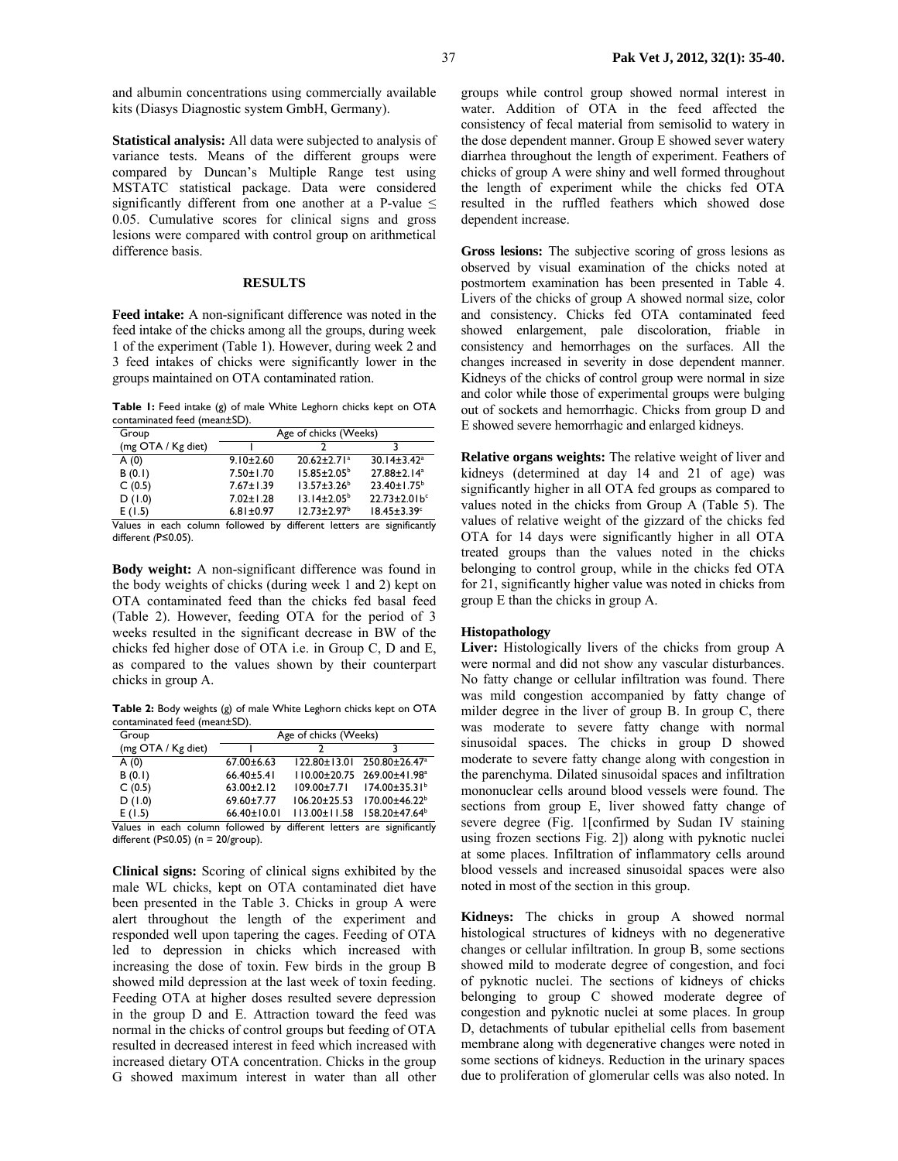and albumin concentrations using commercially available kits (Diasys Diagnostic system GmbH, Germany).

**Statistical analysis:** All data were subjected to analysis of variance tests. Means of the different groups were compared by Duncan's Multiple Range test using MSTATC statistical package. Data were considered significantly different from one another at a P-value  $\leq$ 0.05. Cumulative scores for clinical signs and gross lesions were compared with control group on arithmetical difference basis.

# **RESULTS**

**Feed intake:** A non-significant difference was noted in the feed intake of the chicks among all the groups, during week 1 of the experiment (Table 1). However, during week 2 and 3 feed intakes of chicks were significantly lower in the groups maintained on OTA contaminated ration.

**Table 1:** Feed intake (g) of male White Leghorn chicks kept on OTA contaminated feed (mean±SD).

| Group                                                                 | Age of chicks (Weeks) |                               |                               |  |  |  |
|-----------------------------------------------------------------------|-----------------------|-------------------------------|-------------------------------|--|--|--|
| (mg OTA / Kg diet)                                                    |                       |                               |                               |  |  |  |
| A(0)                                                                  | $9.10 \pm 2.60$       | $20.62 \pm 2.71$ <sup>a</sup> | $30.14 \pm 3.42$ <sup>a</sup> |  |  |  |
| B(0,1)                                                                | $7.50 \pm 1.70$       | $15.85 \pm 2.05^{\circ}$      | 27.88±2.14 <sup>a</sup>       |  |  |  |
| C(0.5)                                                                | $7.67 \pm 1.39$       | $13.57 \pm 3.26^b$            | $23.40 \pm 1.75^b$            |  |  |  |
| D(1.0)                                                                | $7.02 \pm 1.28$       | $13.14 \pm 2.05^{\circ}$      | $22.73 \pm 2.01 b^c$          |  |  |  |
| E(1.5)                                                                | $6.81 \pm 0.97$       | $12.73 \pm 2.97$ <sup>b</sup> | $18.45 \pm 3.39$ <sup>c</sup> |  |  |  |
| Values in each column followed by different letters are significantly |                       |                               |                               |  |  |  |

column followed by different letters are significantly different *(*P≤0.05).

**Body weight:** A non-significant difference was found in the body weights of chicks (during week 1 and 2) kept on OTA contaminated feed than the chicks fed basal feed (Table 2). However, feeding OTA for the period of 3 weeks resulted in the significant decrease in BW of the chicks fed higher dose of OTA i.e. in Group C, D and E, as compared to the values shown by their counterpart chicks in group A.

**Table 2:** Body weights (g) of male White Leghorn chicks kept on OTA contaminated feed (mean±SD).

| Group              | Age of chicks (Weeks) |                    |                                                    |  |  |  |
|--------------------|-----------------------|--------------------|----------------------------------------------------|--|--|--|
| (mg OTA / Kg diet) |                       |                    |                                                    |  |  |  |
| A(0)               | $67.00 \pm 6.63$      |                    | 122.80±13.01 250.80±26.47 <sup>a</sup>             |  |  |  |
| B(0,1)             | $66.40 \pm 5.41$      |                    | $110.00 \pm 20.75$ 269.00 $\pm 41.98$ <sup>a</sup> |  |  |  |
| C(0.5)             | $63.00 \pm 2.12$      |                    | $109.00 \pm 7.71$ $174.00 \pm 35.31^{\circ}$       |  |  |  |
| D(1.0)             | 69.60±7.77            | $106.20 \pm 25.53$ | 170.00±46.22 <sup>b</sup>                          |  |  |  |
| E(1.5)             | 66.40±10.01           | $113.00 \pm 11.58$ | 158.20±47.64 <sup>b</sup>                          |  |  |  |

Values in each column followed by different letters are significantly different (P≤0.05) ( $n = 20$ /group).

**Clinical signs:** Scoring of clinical signs exhibited by the male WL chicks, kept on OTA contaminated diet have been presented in the Table 3. Chicks in group A were alert throughout the length of the experiment and responded well upon tapering the cages. Feeding of OTA led to depression in chicks which increased with increasing the dose of toxin. Few birds in the group B showed mild depression at the last week of toxin feeding. Feeding OTA at higher doses resulted severe depression in the group D and E. Attraction toward the feed was normal in the chicks of control groups but feeding of OTA resulted in decreased interest in feed which increased with increased dietary OTA concentration. Chicks in the group G showed maximum interest in water than all other groups while control group showed normal interest in water. Addition of OTA in the feed affected the consistency of fecal material from semisolid to watery in the dose dependent manner. Group E showed sever watery diarrhea throughout the length of experiment. Feathers of chicks of group A were shiny and well formed throughout the length of experiment while the chicks fed OTA resulted in the ruffled feathers which showed dose dependent increase.

**Gross lesions:** The subjective scoring of gross lesions as observed by visual examination of the chicks noted at postmortem examination has been presented in Table 4. Livers of the chicks of group A showed normal size, color and consistency. Chicks fed OTA contaminated feed showed enlargement, pale discoloration, friable in consistency and hemorrhages on the surfaces. All the changes increased in severity in dose dependent manner. Kidneys of the chicks of control group were normal in size and color while those of experimental groups were bulging out of sockets and hemorrhagic. Chicks from group D and E showed severe hemorrhagic and enlarged kidneys.

**Relative organs weights:** The relative weight of liver and kidneys (determined at day 14 and 21 of age) was significantly higher in all OTA fed groups as compared to values noted in the chicks from Group A (Table 5). The values of relative weight of the gizzard of the chicks fed OTA for 14 days were significantly higher in all OTA treated groups than the values noted in the chicks belonging to control group, while in the chicks fed OTA for 21, significantly higher value was noted in chicks from group E than the chicks in group A.

### **Histopathology**

**Liver:** Histologically livers of the chicks from group A were normal and did not show any vascular disturbances. No fatty change or cellular infiltration was found. There was mild congestion accompanied by fatty change of milder degree in the liver of group B. In group C, there was moderate to severe fatty change with normal sinusoidal spaces. The chicks in group D showed moderate to severe fatty change along with congestion in the parenchyma. Dilated sinusoidal spaces and infiltration mononuclear cells around blood vessels were found. The sections from group E, liver showed fatty change of severe degree (Fig. 1[confirmed by Sudan IV staining using frozen sections Fig. 2]) along with pyknotic nuclei at some places. Infiltration of inflammatory cells around blood vessels and increased sinusoidal spaces were also noted in most of the section in this group.

**Kidneys:** The chicks in group A showed normal histological structures of kidneys with no degenerative changes or cellular infiltration. In group B, some sections showed mild to moderate degree of congestion, and foci of pyknotic nuclei. The sections of kidneys of chicks belonging to group C showed moderate degree of congestion and pyknotic nuclei at some places. In group D, detachments of tubular epithelial cells from basement membrane along with degenerative changes were noted in some sections of kidneys. Reduction in the urinary spaces due to proliferation of glomerular cells was also noted. In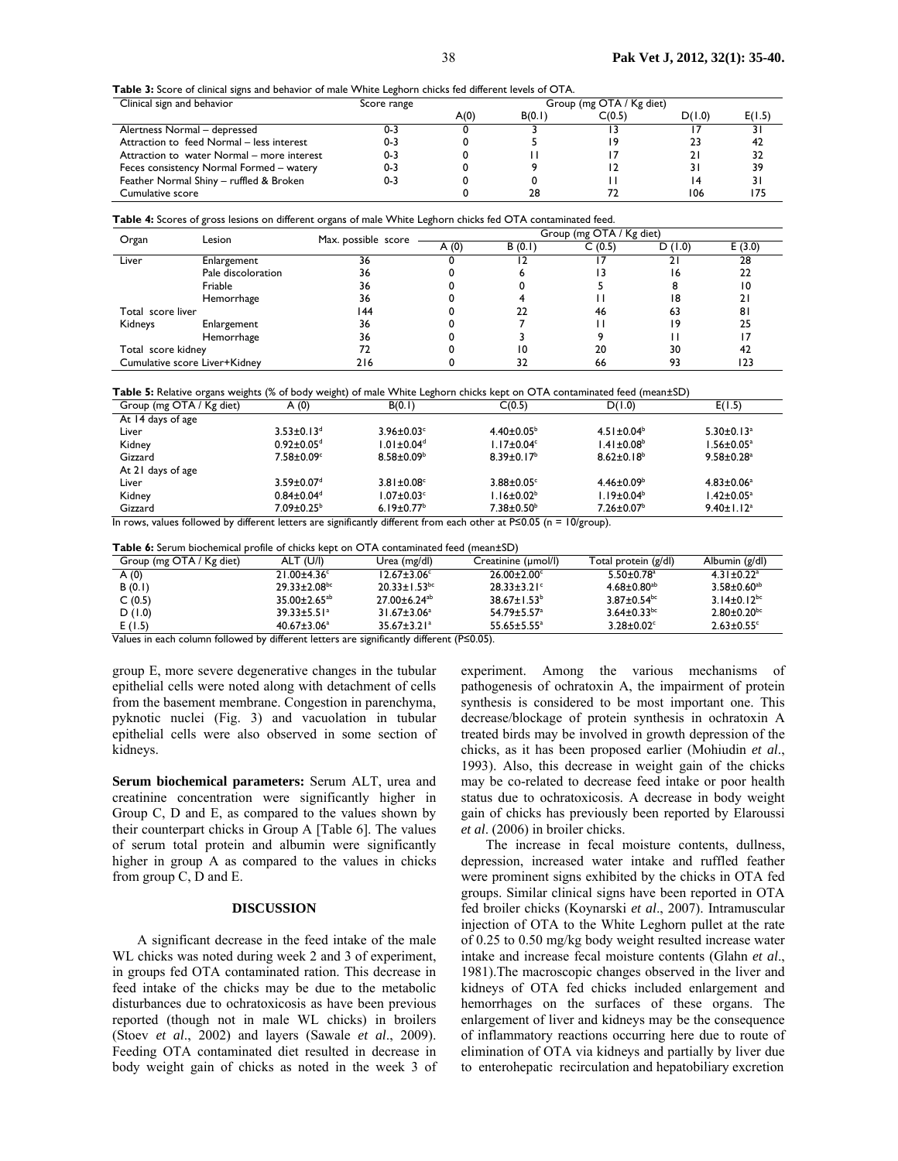**Table 3:** Score of clinical signs and behavior of male White Leghorn chicks fed different levels of OTA.

| Clinical sign and behavior                 | Score range |      |        | Group (mg OTA / Kg diet) |        |        |
|--------------------------------------------|-------------|------|--------|--------------------------|--------|--------|
|                                            |             | A(0) | B(0,1) | C(0.5)                   | D(1.0) | E(1.5) |
| Alertness Normal - depressed               | U-3         |      |        |                          |        |        |
| Attraction to feed Normal - less interest  | 0-3         |      |        | 19                       | 23     | 42     |
| Attraction to water Normal – more interest | 0-3         |      |        |                          |        | 32     |
| Feces consistency Normal Formed – watery   | $0 - 3$     |      |        |                          |        | 39     |
| Feather Normal Shiny - ruffled & Broken    | 0-3         |      |        |                          | 14     |        |
| Cumulative score                           |             |      | 28     |                          | 106    | 175    |

**Table 4:** Scores of gross lesions on different organs of male White Leghorn chicks fed OTA contaminated feed.

| Organ                         | Lesion             | Max. possible score | Group (mg OTA / Kg diet) |        |        |        |     |
|-------------------------------|--------------------|---------------------|--------------------------|--------|--------|--------|-----|
|                               |                    | A(0)                | B(0,1)                   | C(0.5) | D(1.0) | E(3.0) |     |
| Liver                         | Enlargement        | 36                  |                          |        |        |        | 28  |
|                               | Pale discoloration | 36                  |                          |        |        |        | 22  |
|                               | Friable            | 36                  |                          |        |        |        | 10  |
|                               | Hemorrhage         | 36                  |                          |        |        | 18     |     |
| Total score liver             |                    | 144                 |                          |        | 46     | 63     | 8   |
| Kidneys                       | Enlargement        | 36                  |                          |        |        | 19     | 25  |
|                               | Hemorrhage         | 36                  |                          |        |        |        |     |
| Total score kidney            |                    | 72                  |                          | 10     | 20     | 30     | 42  |
| Cumulative score Liver+Kidney |                    | 216                 |                          |        | 66     | 93     | 123 |

**Table 5:** Relative organs weights (% of body weight) of male White Leghorn chicks kept on OTA contaminated feed (mean±SD)

|                                                                                                                    | $\sim$                       | . .                          |                              |                   |                              |  |  |
|--------------------------------------------------------------------------------------------------------------------|------------------------------|------------------------------|------------------------------|-------------------|------------------------------|--|--|
| Group (mg OTA / Kg diet)                                                                                           | A(0)                         | B(0.1)                       | C(0.5)                       | D(1.0)            | E(1.5)                       |  |  |
| At 14 days of age                                                                                                  |                              |                              |                              |                   |                              |  |  |
| Liver                                                                                                              | $3.53 \pm 0.13$ <sup>d</sup> | $3.96 \pm 0.03$ c            | $4.40 \pm 0.05^{\circ}$      | $4.51 \pm 0.04^b$ | $5.30 \pm 0.13$ <sup>a</sup> |  |  |
| Kidney                                                                                                             | $0.92 \pm 0.05$ <sup>d</sup> | $1.01 \pm 0.04$ <sup>d</sup> | $1.17 \pm 0.04$ <sup>c</sup> | $1.41 \pm 0.08^b$ | $1.56 \pm 0.05^a$            |  |  |
| Gizzard                                                                                                            | $7.58 \pm 0.09$ <sup>c</sup> | $8.58 \pm 0.09^{\circ}$      | $8.39 \pm 0.17^b$            | $8.62 \pm 0.18^b$ | $9.58 \pm 0.28$ <sup>a</sup> |  |  |
| At 21 days of age                                                                                                  |                              |                              |                              |                   |                              |  |  |
| Liver                                                                                                              | $3.59 \pm 0.07$ <sup>d</sup> | $3.81 \pm 0.08$              | $3.88 \pm 0.05$ <sup>c</sup> | $4.46 \pm 0.09^b$ | $4.83 \pm 0.06^a$            |  |  |
| Kidney                                                                                                             | $0.84 \pm 0.04$ <sup>d</sup> | $1.07 \pm 0.03$ <sup>c</sup> | $1.16 \pm 0.02^b$            | $1.19 \pm 0.04^b$ | $1.42 \pm 0.05^a$            |  |  |
| Gizzard                                                                                                            | $7.09 \pm 0.25^{\circ}$      | 6.19 $\pm$ 0.77 <sup>b</sup> | $7.38 \pm 0.50^{\circ}$      | $7.26 \pm 0.07^b$ | $9.40 \pm 1.12$ <sup>a</sup> |  |  |
| المستطرفات المراكب والمستقطعة والمستقطعية ويستكشف والمستحرج ويستخدم والمستحقق والمستحل والمستحقق والمستحد والمستحد |                              |                              |                              |                   |                              |  |  |

In rows, values followed by different letters are significantly different from each other at P≤0.05 (n = 10/group).

**Table 6:** Serum biochemical profile of chicks kept on OTA contaminated feed (mean±SD)

| Group (mg OTA / Kg diet)  | ALT (U/I)                | Urea (mg/dl)                   | Creatinine (umol/l)      | Total protein (g/dl)          | Albumin (g/dl)                |
|---------------------------|--------------------------|--------------------------------|--------------------------|-------------------------------|-------------------------------|
| A(0)                      | $21.00 + 4.36$ °         | $12.67 \pm 3.06^{\circ}$       | $26.00 \pm 2.00^{\circ}$ | $5.50 \pm 0.78$ <sup>a</sup>  | $4.31 + 0.22$ <sup>a</sup>    |
| B(0.1)                    | $29.33 \pm 2.08$ bc      | $20.33 \pm 1.53$ <sup>bc</sup> | $28.33 \pm 3.21$ °       | $4.68 \pm 0.80^{ab}$          | $3.58 \pm 0.60^{ab}$          |
| C(0.5)                    | $35.00 \pm 2.65^{ab}$    | $27.00 \pm 6.24$ <sup>ab</sup> | $38.67 \pm 1.53^b$       | $3.87 \pm 0.54$ <sup>bc</sup> | $3.14 \pm 0.12^{bc}$          |
| D(1.0)                    | $39.33 \pm 5.51^{\circ}$ | $31.67 \pm 3.06^a$             | $54.79 \pm 5.57^{\circ}$ | $3.64 \pm 0.33$ <sup>bc</sup> | $2.80 \pm 0.20$ <sup>bc</sup> |
| E(1.5)                    | $40.67 \pm 3.06^a$       | $35.67 \pm 3.21$ <sup>a</sup>  | $55.65 \pm 5.55^a$       | $3.28 \pm 0.02$ <sup>c</sup>  | $2.63 \pm 0.55$ <sup>c</sup>  |
| $\cdots$<br>$\sim$ $\sim$ |                          | $\overline{1}$ $\overline{1}$  | (0.10, 0.01)             |                               |                               |

Values in each column followed by different letters are significantly different (P≤0.05).

group E, more severe degenerative changes in the tubular epithelial cells were noted along with detachment of cells from the basement membrane. Congestion in parenchyma, pyknotic nuclei (Fig. 3) and vacuolation in tubular epithelial cells were also observed in some section of kidneys.

**Serum biochemical parameters:** Serum ALT, urea and creatinine concentration were significantly higher in Group C, D and E, as compared to the values shown by their counterpart chicks in Group A [Table 6]. The values of serum total protein and albumin were significantly higher in group A as compared to the values in chicks from group C, D and E.

#### **DISCUSSION**

A significant decrease in the feed intake of the male WL chicks was noted during week 2 and 3 of experiment, in groups fed OTA contaminated ration. This decrease in feed intake of the chicks may be due to the metabolic disturbances due to ochratoxicosis as have been previous reported (though not in male WL chicks) in broilers (Stoev *et al*., 2002) and layers (Sawale *et al*., 2009). Feeding OTA contaminated diet resulted in decrease in body weight gain of chicks as noted in the week 3 of experiment. Among the various mechanisms of pathogenesis of ochratoxin A, the impairment of protein synthesis is considered to be most important one. This decrease/blockage of protein synthesis in ochratoxin A treated birds may be involved in growth depression of the chicks, as it has been proposed earlier (Mohiudin *et al*., 1993). Also, this decrease in weight gain of the chicks may be co-related to decrease feed intake or poor health status due to ochratoxicosis. A decrease in body weight gain of chicks has previously been reported by Elaroussi *et al*. (2006) in broiler chicks.

The increase in fecal moisture contents, dullness, depression, increased water intake and ruffled feather were prominent signs exhibited by the chicks in OTA fed groups. Similar clinical signs have been reported in OTA fed broiler chicks (Koynarski *et al*., 2007). Intramuscular injection of OTA to the White Leghorn pullet at the rate of 0.25 to 0.50 mg/kg body weight resulted increase water intake and increase fecal moisture contents (Glahn *et al*., 1981).The macroscopic changes observed in the liver and kidneys of OTA fed chicks included enlargement and hemorrhages on the surfaces of these organs. The enlargement of liver and kidneys may be the consequence of inflammatory reactions occurring here due to route of elimination of OTA via kidneys and partially by liver due to enterohepatic recirculation and hepatobiliary excretion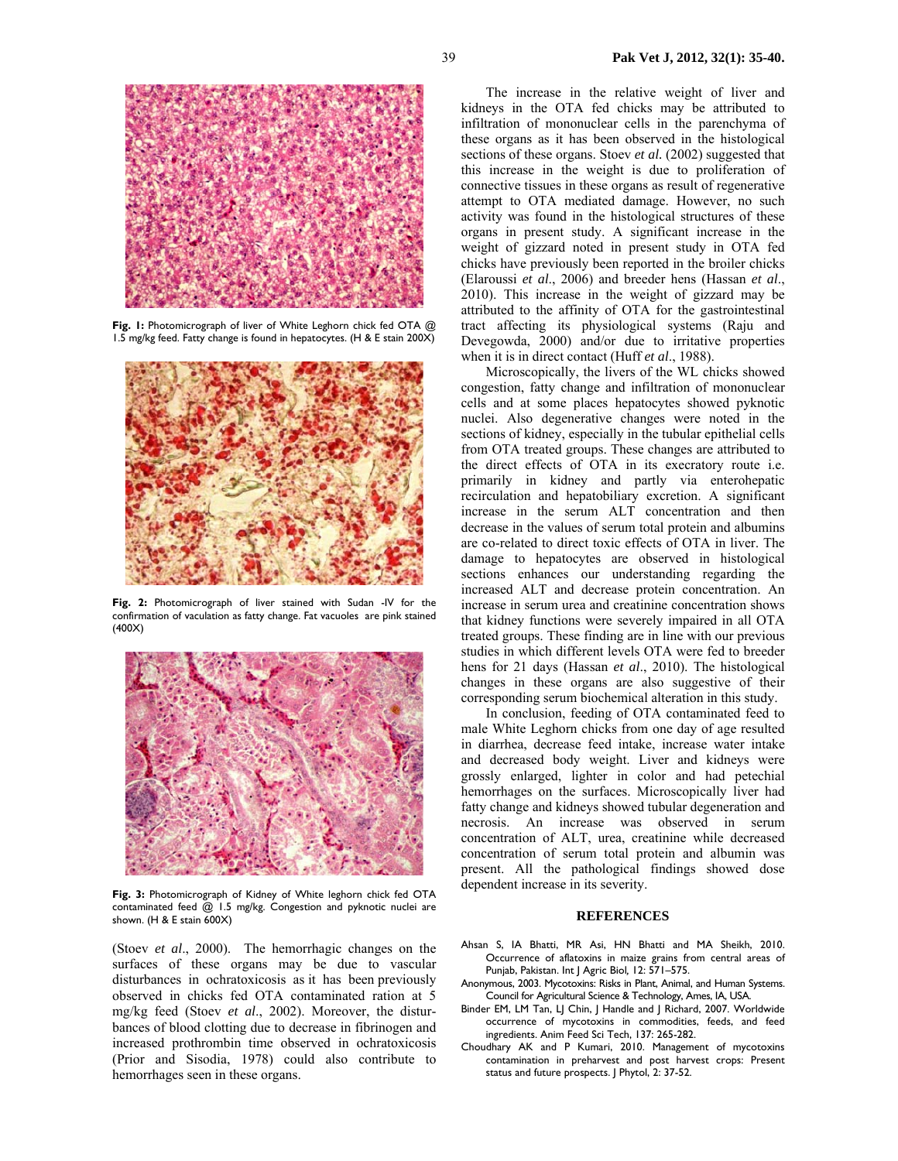

**Fig. 1:** Photomicrograph of liver of White Leghorn chick fed OTA @ 1.5 mg/kg feed. Fatty change is found in hepatocytes. (H & E stain 200X)



**Fig. 2:** Photomicrograph of liver stained with Sudan -IV for the confirmation of vaculation as fatty change. Fat vacuoles are pink stained (400X)



**Fig. 3:** Photomicrograph of Kidney of White leghorn chick fed OTA contaminated feed @ 1.5 mg/kg. Congestion and pyknotic nuclei are shown. (H & E stain 600X)

(Stoev *et al*., 2000). The hemorrhagic changes on the surfaces of these organs may be due to vascular disturbances in ochratoxicosis as it has been previously observed in chicks fed OTA contaminated ration at 5 mg/kg feed (Stoev *et al*., 2002). Moreover, the disturbances of blood clotting due to decrease in fibrinogen and increased prothrombin time observed in ochratoxicosis (Prior and Sisodia, 1978) could also contribute to hemorrhages seen in these organs.

The increase in the relative weight of liver and kidneys in the OTA fed chicks may be attributed to infiltration of mononuclear cells in the parenchyma of these organs as it has been observed in the histological sections of these organs. Stoev *et al.* (2002) suggested that this increase in the weight is due to proliferation of connective tissues in these organs as result of regenerative attempt to OTA mediated damage. However, no such activity was found in the histological structures of these organs in present study. A significant increase in the weight of gizzard noted in present study in OTA fed chicks have previously been reported in the broiler chicks (Elaroussi *et al*., 2006) and breeder hens (Hassan *et al*., 2010). This increase in the weight of gizzard may be attributed to the affinity of OTA for the gastrointestinal tract affecting its physiological systems (Raju and Devegowda, 2000) and/or due to irritative properties when it is in direct contact (Huff *et al*., 1988).

Microscopically, the livers of the WL chicks showed congestion, fatty change and infiltration of mononuclear cells and at some places hepatocytes showed pyknotic nuclei. Also degenerative changes were noted in the sections of kidney, especially in the tubular epithelial cells from OTA treated groups. These changes are attributed to the direct effects of OTA in its execratory route i.e. primarily in kidney and partly via enterohepatic recirculation and hepatobiliary excretion. A significant increase in the serum ALT concentration and then decrease in the values of serum total protein and albumins are co-related to direct toxic effects of OTA in liver. The damage to hepatocytes are observed in histological sections enhances our understanding regarding the increased ALT and decrease protein concentration. An increase in serum urea and creatinine concentration shows that kidney functions were severely impaired in all OTA treated groups. These finding are in line with our previous studies in which different levels OTA were fed to breeder hens for 21 days (Hassan *et al*., 2010). The histological changes in these organs are also suggestive of their corresponding serum biochemical alteration in this study.

In conclusion, feeding of OTA contaminated feed to male White Leghorn chicks from one day of age resulted in diarrhea, decrease feed intake, increase water intake and decreased body weight. Liver and kidneys were grossly enlarged, lighter in color and had petechial hemorrhages on the surfaces. Microscopically liver had fatty change and kidneys showed tubular degeneration and necrosis. An increase was observed in serum concentration of ALT, urea, creatinine while decreased concentration of serum total protein and albumin was present. All the pathological findings showed dose dependent increase in its severity.

#### **REFERENCES**

- Ahsan S, IA Bhatti, MR Asi, HN Bhatti and MA Sheikh, 2010. Occurrence of aflatoxins in maize grains from central areas of Punjab, Pakistan. Int J Agric Biol*,* 12: 571–575.
- Anonymous, 2003. Mycotoxins: Risks in Plant, Animal, and Human Systems. Council for Agricultural Science & Technology, Ames, IA, USA.
- Binder EM, LM Tan, LJ Chin, J Handle and J Richard, 2007. Worldwide occurrence of mycotoxins in commodities, feeds, and feed ingredients. Anim Feed Sci Tech, 137: 265-282.
- Choudhary AK and P Kumari, 2010. Management of mycotoxins contamination in preharvest and post harvest crops: Present status and future prospects. J Phytol, 2: 37-52.